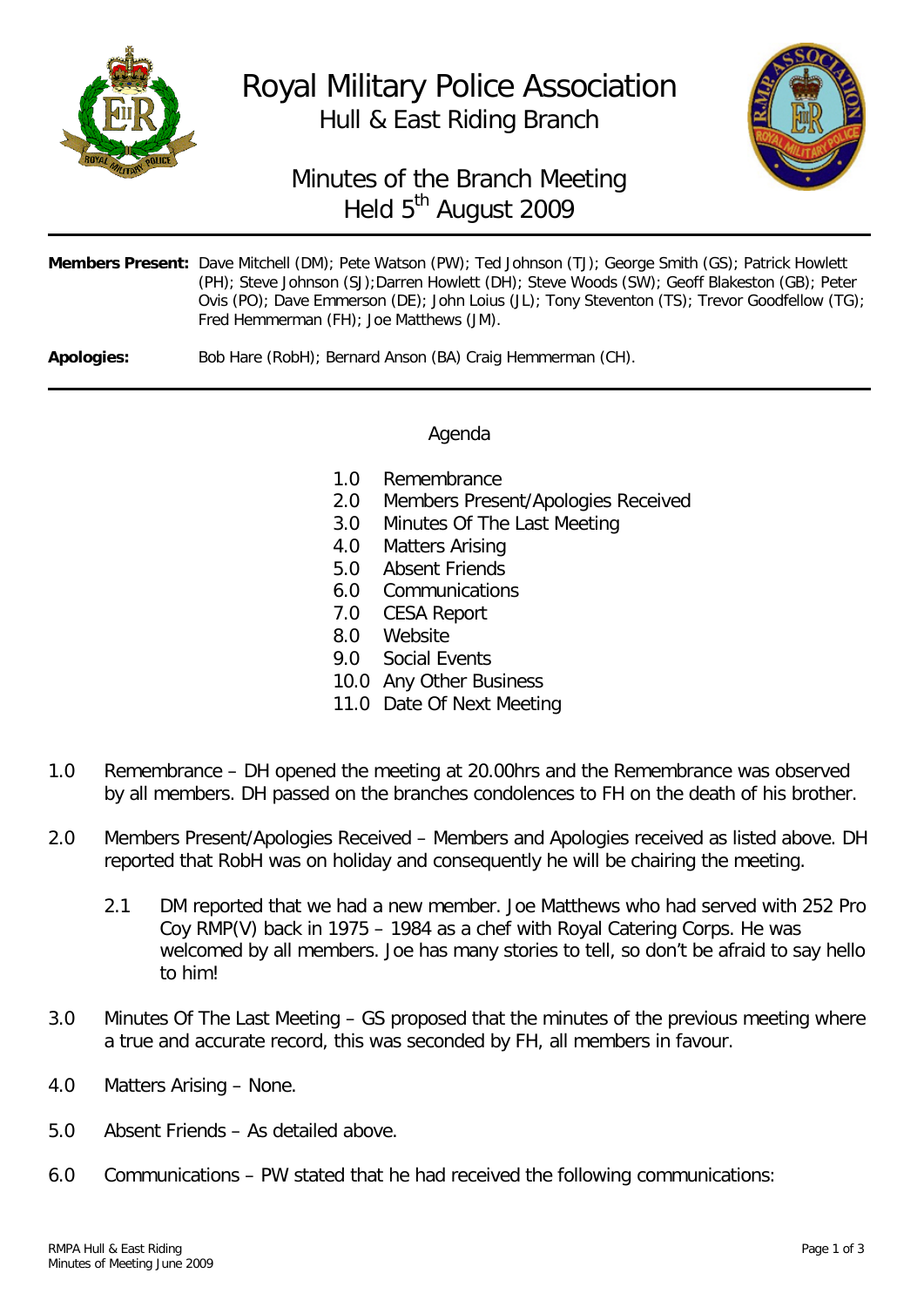

## Royal Military Police Association Hull & East Riding Branch



## Minutes of the Branch Meeting Held 5<sup>th</sup> August 2009

|                   | Members Present: Dave Mitchell (DM); Pete Watson (PW); Ted Johnson (TJ); George Smith (GS); Patrick Howlett<br>(PH); Steve Johnson (SJ); Darren Howlett (DH); Steve Woods (SW); Geoff Blakeston (GB); Peter<br>Ovis (PO); Dave Emmerson (DE); John Loius (JL); Tony Steventon (TS); Trevor Goodfellow (TG);<br>Fred Hemmerman (FH); Joe Matthews (JM). |
|-------------------|--------------------------------------------------------------------------------------------------------------------------------------------------------------------------------------------------------------------------------------------------------------------------------------------------------------------------------------------------------|
| <b>Apologies:</b> | Bob Hare (RobH); Bernard Anson (BA) Craig Hemmerman (CH).                                                                                                                                                                                                                                                                                              |

## Agenda

- 1.0 Remembrance<br>2.0 Members Prese
- Members Present/Apologies Received
- 3.0 Minutes Of The Last Meeting
- 4.0 Matters Arising<br>5.0 Absent Friends
- Absent Friends
- 6.0 Communications
- 7.0 CESA Report
- 8.0 Website
- 9.0 Social Events
- 10.0 Any Other Business
- 11.0 Date Of Next Meeting
- 1.0 Remembrance DH opened the meeting at 20.00hrs and the Remembrance was observed by all members. DH passed on the branches condolences to FH on the death of his brother.
- 2.0 Members Present/Apologies Received Members and Apologies received as listed above. DH reported that RobH was on holiday and consequently he will be chairing the meeting.
	- 2.1 DM reported that we had a new member. Joe Matthews who had served with 252 Pro Coy RMP(V) back in 1975 – 1984 as a chef with Royal Catering Corps. He was welcomed by all members. Joe has many stories to tell, so don't be afraid to say hello to him!
- 3.0 Minutes Of The Last Meeting GS proposed that the minutes of the previous meeting where a true and accurate record, this was seconded by FH, all members in favour.
- 4.0 Matters Arising None.
- 5.0 Absent Friends As detailed above.
- 6.0 Communications PW stated that he had received the following communications: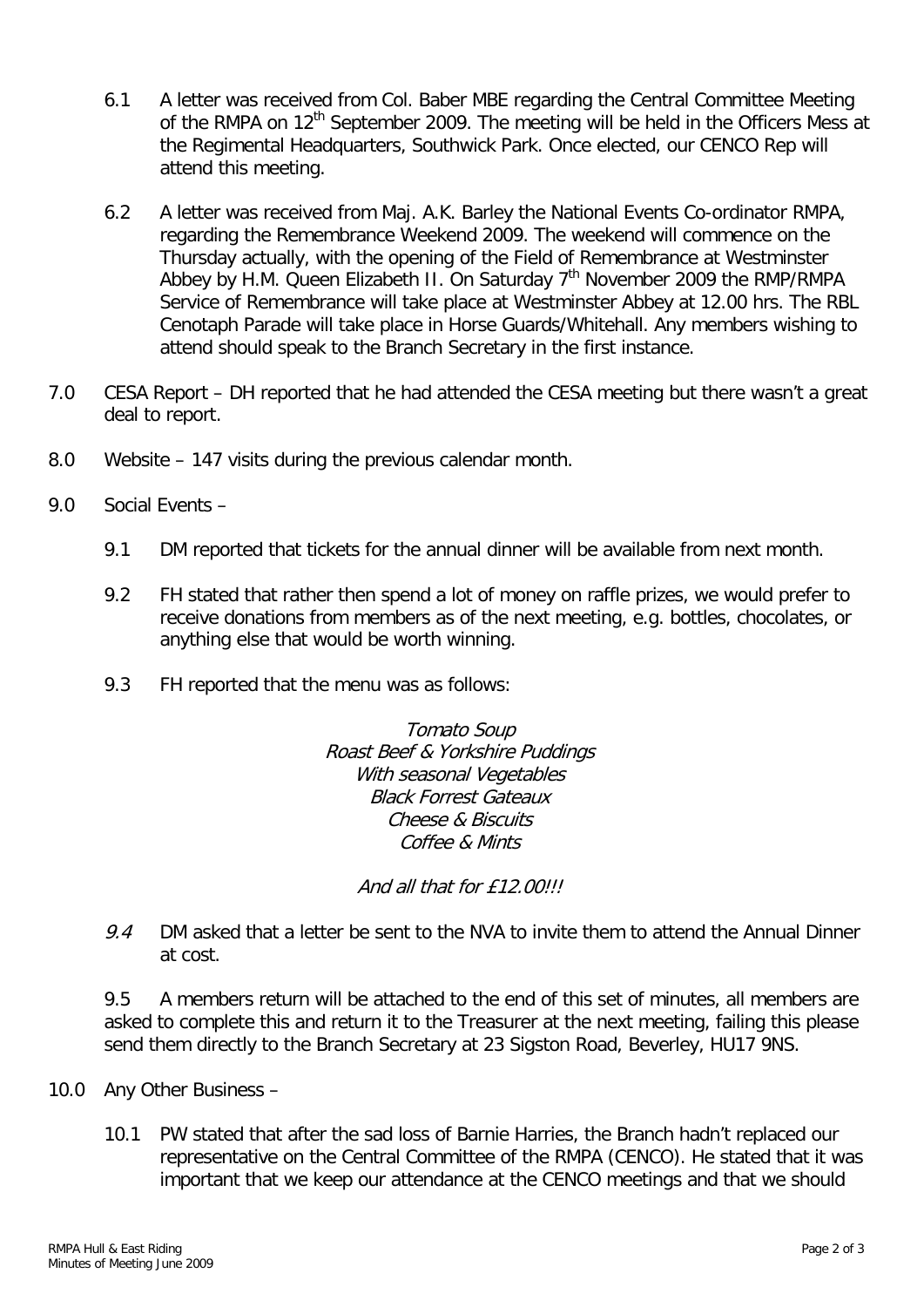- 6.1 A letter was received from Col. Baber MBE regarding the Central Committee Meeting of the RMPA on  $12<sup>th</sup>$  September 2009. The meeting will be held in the Officers Mess at the Regimental Headquarters, Southwick Park. Once elected, our CENCO Rep will attend this meeting.
- 6.2 A letter was received from Maj. A.K. Barley the National Events Co-ordinator RMPA, regarding the Remembrance Weekend 2009. The weekend will commence on the Thursday actually, with the opening of the Field of Remembrance at Westminster Abbey by H.M. Queen Elizabeth II. On Saturday  $7<sup>th</sup>$  November 2009 the RMP/RMPA Service of Remembrance will take place at Westminster Abbey at 12.00 hrs. The RBL Cenotaph Parade will take place in Horse Guards/Whitehall. Any members wishing to attend should speak to the Branch Secretary in the first instance.
- 7.0 CESA Report DH reported that he had attended the CESA meeting but there wasn't a great deal to report.
- 8.0 Website 147 visits during the previous calendar month.
- 9.0 Social Events
	- 9.1 DM reported that tickets for the annual dinner will be available from next month.
	- 9.2 FH stated that rather then spend a lot of money on raffle prizes, we would prefer to receive donations from members as of the next meeting, e.g. bottles, chocolates, or anything else that would be worth winning.
	- 9.3 FH reported that the menu was as follows:

Tomato Soup Roast Beef & Yorkshire Puddings With seasonal Vegetables Black Forrest Gateaux Cheese & Biscuits Coffee & Mints

And all that for £12.00!!!

9.4 DM asked that a letter be sent to the NVA to invite them to attend the Annual Dinner at cost.

9.5 A members return will be attached to the end of this set of minutes, all members are asked to complete this and return it to the Treasurer at the next meeting, failing this please send them directly to the Branch Secretary at 23 Sigston Road, Beverley, HU17 9NS.

- 10.0 Any Other Business
	- 10.1 PW stated that after the sad loss of Barnie Harries, the Branch hadn't replaced our representative on the Central Committee of the RMPA (CENCO). He stated that it was important that we keep our attendance at the CENCO meetings and that we should